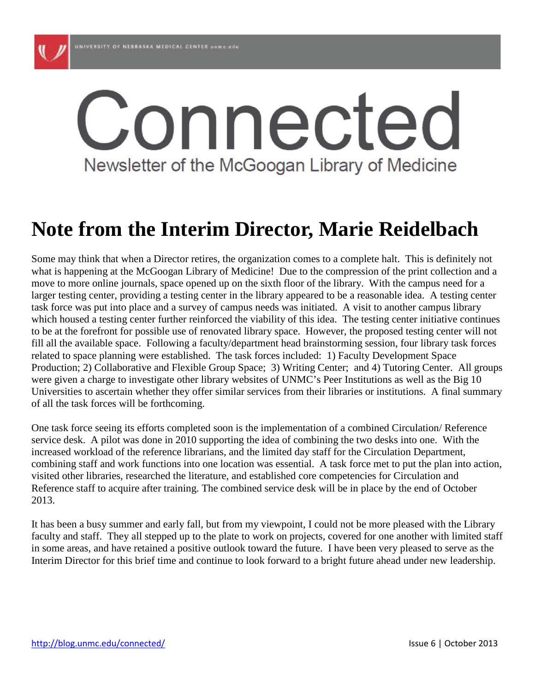

# Connected Newsletter of the McGoogan Library of Medicine

### **Note from the Interim Director, Marie Reidelbach**

Some may think that when a Director retires, the organization comes to a complete halt. This is definitely not what is happening at the McGoogan Library of Medicine! Due to the compression of the print collection and a move to more online journals, space opened up on the sixth floor of the library. With the campus need for a larger testing center, providing a testing center in the library appeared to be a reasonable idea. A testing center task force was put into place and a survey of campus needs was initiated. A visit to another campus library which housed a testing center further reinforced the viability of this idea. The testing center initiative continues to be at the forefront for possible use of renovated library space. However, the proposed testing center will not fill all the available space. Following a faculty/department head brainstorming session, four library task forces related to space planning were established. The task forces included: 1) Faculty Development Space Production; 2) Collaborative and Flexible Group Space; 3) Writing Center; and 4) Tutoring Center. All groups were given a charge to investigate other library websites of UNMC's Peer Institutions as well as the Big 10 Universities to ascertain whether they offer similar services from their libraries or institutions. A final summary of all the task forces will be forthcoming.

One task force seeing its efforts completed soon is the implementation of a combined Circulation/ Reference service desk. A pilot was done in 2010 supporting the idea of combining the two desks into one. With the increased workload of the reference librarians, and the limited day staff for the Circulation Department, combining staff and work functions into one location was essential. A task force met to put the plan into action, visited other libraries, researched the literature, and established core competencies for Circulation and Reference staff to acquire after training. The combined service desk will be in place by the end of October 2013.

It has been a busy summer and early fall, but from my viewpoint, I could not be more pleased with the Library faculty and staff. They all stepped up to the plate to work on projects, covered for one another with limited staff in some areas, and have retained a positive outlook toward the future. I have been very pleased to serve as the Interim Director for this brief time and continue to look forward to a bright future ahead under new leadership.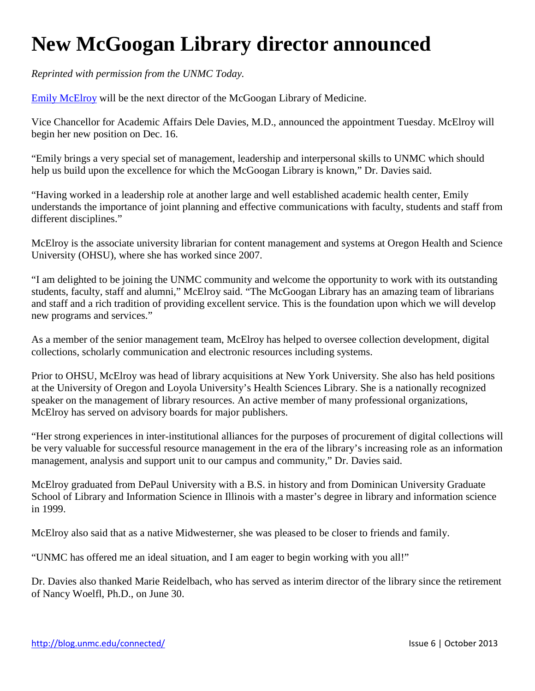# **New McGoogan Library director announced**

*Reprinted with permission from the UNMC Today.*

[Emily McElroy](http://www.ohsu.edu/xd/education/library/about/staff-directory/emily-mcelroy.cfm) will be the next director of the McGoogan Library of Medicine.

Vice Chancellor for Academic Affairs Dele Davies, M.D., announced the appointment Tuesday. McElroy will begin her new position on Dec. 16.

"Emily brings a very special set of management, leadership and interpersonal skills to UNMC which should help us build upon the excellence for which the McGoogan Library is known," Dr. Davies said.

"Having worked in a leadership role at another large and well established academic health center, Emily understands the importance of joint planning and effective communications with faculty, students and staff from different disciplines."

McElroy is the associate university librarian for content management and systems at Oregon Health and Science University (OHSU), where she has worked since 2007.

"I am delighted to be joining the UNMC community and welcome the opportunity to work with its outstanding students, faculty, staff and alumni," McElroy said. "The McGoogan Library has an amazing team of librarians and staff and a rich tradition of providing excellent service. This is the foundation upon which we will develop new programs and services."

As a member of the senior management team, McElroy has helped to oversee collection development, digital collections, scholarly communication and electronic resources including systems.

Prior to OHSU, McElroy was head of library acquisitions at New York University. She also has held positions at the University of Oregon and Loyola University's Health Sciences Library. She is a nationally recognized speaker on the management of library resources. An active member of many professional organizations, McElroy has served on advisory boards for major publishers.

"Her strong experiences in inter-institutional alliances for the purposes of procurement of digital collections will be very valuable for successful resource management in the era of the library's increasing role as an information management, analysis and support unit to our campus and community," Dr. Davies said.

McElroy graduated from DePaul University with a B.S. in history and from Dominican University Graduate School of Library and Information Science in Illinois with a master's degree in library and information science in 1999.

McElroy also said that as a native Midwesterner, she was pleased to be closer to friends and family.

"UNMC has offered me an ideal situation, and I am eager to begin working with you all!"

Dr. Davies also thanked Marie Reidelbach, who has served as interim director of the library since the retirement of Nancy Woelfl, Ph.D., on June 30.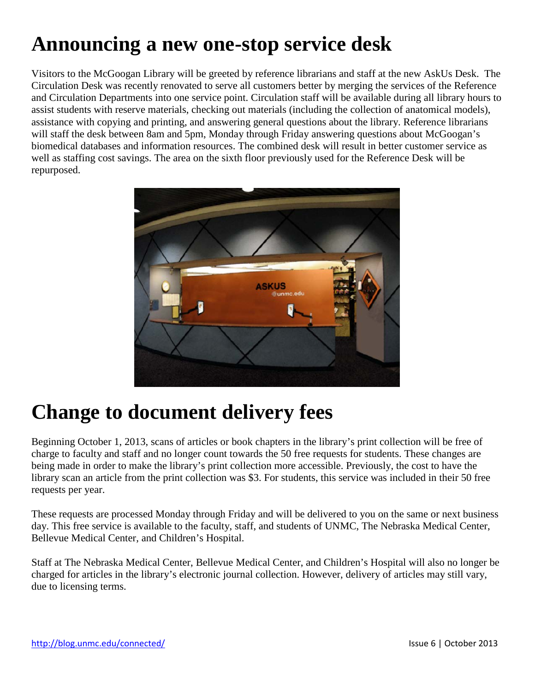# **Announcing a new one-stop service desk**

Visitors to the McGoogan Library will be greeted by reference librarians and staff at the new AskUs Desk. The Circulation Desk was recently renovated to serve all customers better by merging the services of the Reference and Circulation Departments into one service point. Circulation staff will be available during all library hours to assist students with reserve materials, checking out materials (including the collection of anatomical models), assistance with copying and printing, and answering general questions about the library. Reference librarians will staff the desk between 8am and 5pm, Monday through Friday answering questions about McGoogan's biomedical databases and information resources. The combined desk will result in better customer service as well as staffing cost savings. The area on the sixth floor previously used for the Reference Desk will be repurposed.



#### **Change to document delivery fees**

Beginning October 1, 2013, scans of articles or book chapters in the library's print collection will be free of charge to faculty and staff and no longer count towards the 50 free requests for students. These changes are being made in order to make the library's print collection more accessible. Previously, the cost to have the library scan an article from the print collection was \$3. For students, this service was included in their 50 free requests per year.

These requests are processed Monday through Friday and will be delivered to you on the same or next business day. This free service is available to the faculty, staff, and students of UNMC, The Nebraska Medical Center, Bellevue Medical Center, and Children's Hospital.

Staff at The Nebraska Medical Center, Bellevue Medical Center, and Children's Hospital will also no longer be charged for articles in the library's electronic journal collection. However, delivery of articles may still vary, due to licensing terms.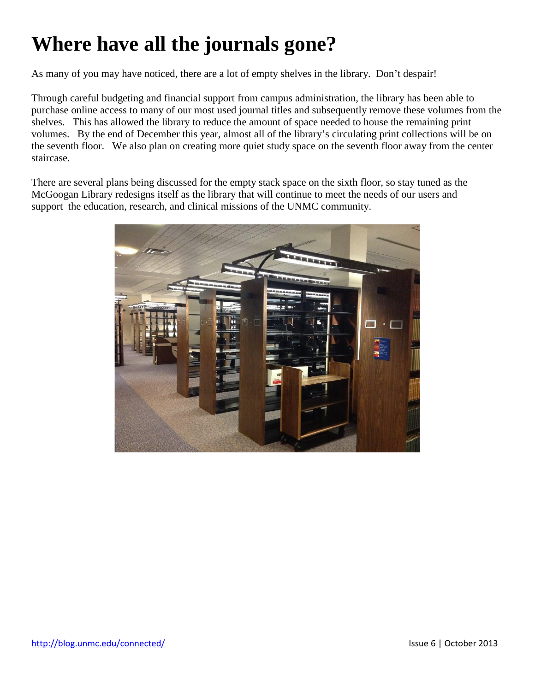### **Where have all the journals gone?**

As many of you may have noticed, there are a lot of empty shelves in the library. Don't despair!

Through careful budgeting and financial support from campus administration, the library has been able to purchase online access to many of our most used journal titles and subsequently remove these volumes from the shelves. This has allowed the library to reduce the amount of space needed to house the remaining print volumes. By the end of December this year, almost all of the library's circulating print collections will be on the seventh floor. We also plan on creating more quiet study space on the seventh floor away from the center staircase.

There are several plans being discussed for the empty stack space on the sixth floor, so stay tuned as the McGoogan Library redesigns itself as the library that will continue to meet the needs of our users and support the education, research, and clinical missions of the UNMC community.

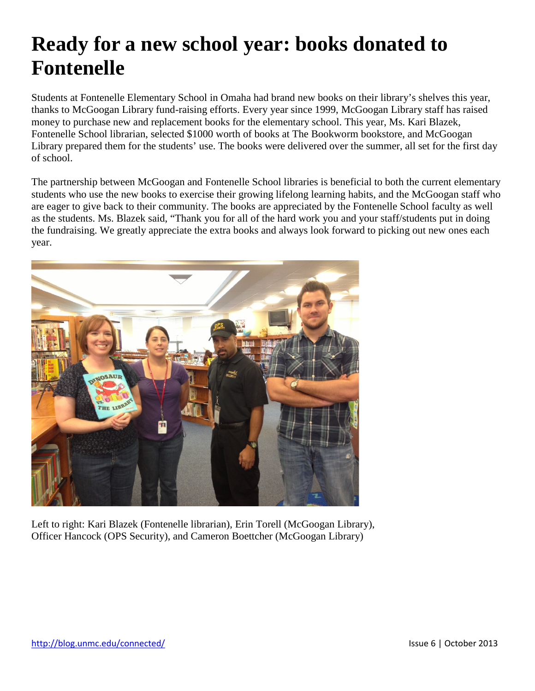### **Ready for a new school year: books donated to Fontenelle**

Students at Fontenelle Elementary School in Omaha had brand new books on their library's shelves this year, thanks to McGoogan Library fund-raising efforts. Every year since 1999, McGoogan Library staff has raised money to purchase new and replacement books for the elementary school. This year, Ms. Kari Blazek, Fontenelle School librarian, selected \$1000 worth of books at The Bookworm bookstore, and McGoogan Library prepared them for the students' use. The books were delivered over the summer, all set for the first day of school.

The partnership between McGoogan and Fontenelle School libraries is beneficial to both the current elementary students who use the new books to exercise their growing lifelong learning habits, and the McGoogan staff who are eager to give back to their community. The books are appreciated by the Fontenelle School faculty as well as the students. Ms. Blazek said, "Thank you for all of the hard work you and your staff/students put in doing the fundraising. We greatly appreciate the extra books and always look forward to picking out new ones each year.



Left to right: Kari Blazek (Fontenelle librarian), Erin Torell (McGoogan Library), Officer Hancock (OPS Security), and Cameron Boettcher (McGoogan Library)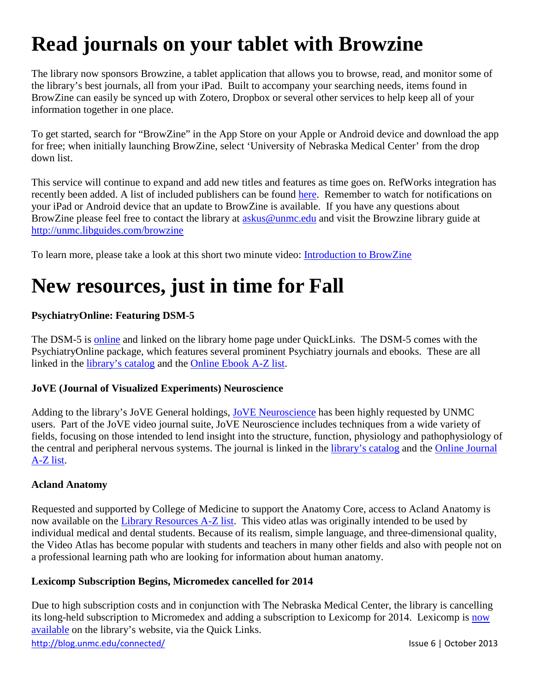# **Read journals on your tablet with Browzine**

The library now sponsors Browzine, a tablet application that allows you to browse, read, and monitor some of the library's best journals, all from your iPad. Built to accompany your searching needs, items found in BrowZine can easily be synced up with Zotero, Dropbox or several other services to help keep all of your information together in one place.

To get started, search for "BrowZine" in the App Store on your Apple or Android device and download the app for free; when initially launching BrowZine, select 'University of Nebraska Medical Center' from the drop down list.

This service will continue to expand and add new titles and features as time goes on. RefWorks integration has recently been added. A list of included publishers can be found [here.](http://support.thirdiron.com/knowledgebase/articles/132654-what-publishers-do-you-support-) Remember to watch for notifications on your iPad or Android device that an update to BrowZine is available. If you have any questions about BrowZine please feel free to contact the library at [askus@unmc.edu](mailto:askus@unmc.edu) and visit the Browzine library guide at <http://unmc.libguides.com/browzine>

To learn more, please take a look at this short two minute video: [Introduction to BrowZine](http://vimeo.com/52663192)

#### **New resources, just in time for Fall**

#### **PsychiatryOnline: Featuring DSM-5**

The DSM-5 is [online](https://library1.unmc.edu/login?url=http://psychiatryonline.org/book.aspx?bookid=556) and linked on the library home page under QuickLinks. The DSM-5 comes with the PsychiatryOnline package, which features several prominent Psychiatry journals and ebooks. These are all linked in the [library's catalog](http://helix.unmc.edu/search/) and the [Online Ebook A-Z list.](https://library1.unmc.edu/login?url=http://www.tdnet.com/Client_Entrance.asp?action=bookmark&ID_Group=122&ID_Customer=303&navigate=Frames.asp)

#### **JoVE (Journal of Visualized Experiments) Neuroscience**

Adding to the library's JoVE General holdings, [JoVE Neuroscience](https://library1.unmc.edu/login?url=http://www.jove.com/neuro) has been highly requested by UNMC users. Part of the JoVE video journal suite, JoVE Neuroscience includes techniques from a wide variety of fields, focusing on those intended to lend insight into the structure, function, physiology and pathophysiology of the central and peripheral nervous systems. The journal is linked in the [library's catalog](http://helix.unmc.edu/search/a?searchtype=s&searcharg=a&SORT=D) and the [Online Journal](https://library1.unmc.edu/login?url=http://www.tdnet.com/Client_Entrance.asp?action=bookmark&ID_Group=122&ID_Customer=303&navigate=Frames.asp)  [A-Z list.](https://library1.unmc.edu/login?url=http://www.tdnet.com/Client_Entrance.asp?action=bookmark&ID_Group=122&ID_Customer=303&navigate=Frames.asp)

#### **Acland Anatomy**

Requested and supported by College of Medicine to support the Anatomy Core, access to Acland Anatomy is now available on the [Library Resources A-Z list.](http://unmc.libguides.com/content.php?pid=126164&sid=1083124) This video atlas was originally intended to be used by individual medical and dental students. Because of its realism, simple language, and three-dimensional quality, the Video Atlas has become popular with students and teachers in many other fields and also with people not on a professional learning path who are looking for information about human anatomy.

#### **Lexicomp Subscription Begins, Micromedex cancelled for 2014**

Due to high subscription costs and in conjunction with The Nebraska Medical Center, the library is cancelling its long-held subscription to Micromedex and adding a subscription to Lexicomp for 2014. Lexicomp is now [available](https://library1.unmc.edu/login?url=https://online.lexi.com/lco/action/home?siteid=478) on the library's website, via the Quick Links.

<http://blog.unmc.edu/connected/> Issue 6 | October 2013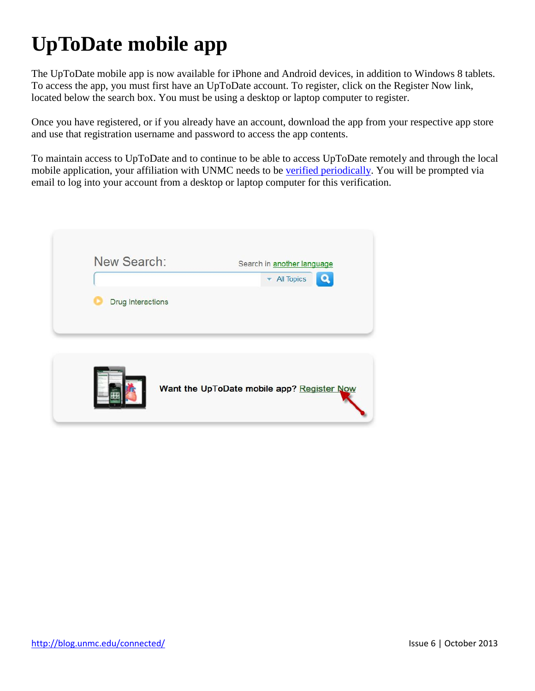# **UpToDate mobile app**

The UpToDate mobile app is now available for iPhone and Android devices, in addition to Windows 8 tablets. To access the app, you must first have an UpToDate account. To register, click on the Register Now link, located below the search box. You must be using a desktop or laptop computer to register.

Once you have registered, or if you already have an account, download the app from your respective app store and use that registration username and password to access the app contents.

To maintain access to UpToDate and to continue to be able to access UpToDate remotely and through the local mobile application, your affiliation with UNMC needs to be [verified periodically.](http://learn.uptodate.com/verify) You will be prompted via email to log into your account from a desktop or laptop computer for this verification.

| New Search:       | Search in another language<br><b>All Topics</b><br>۰ |
|-------------------|------------------------------------------------------|
| Drug Interactions |                                                      |
|                   |                                                      |
|                   |                                                      |
|                   | Want the UpToDate mobile app? Register Now           |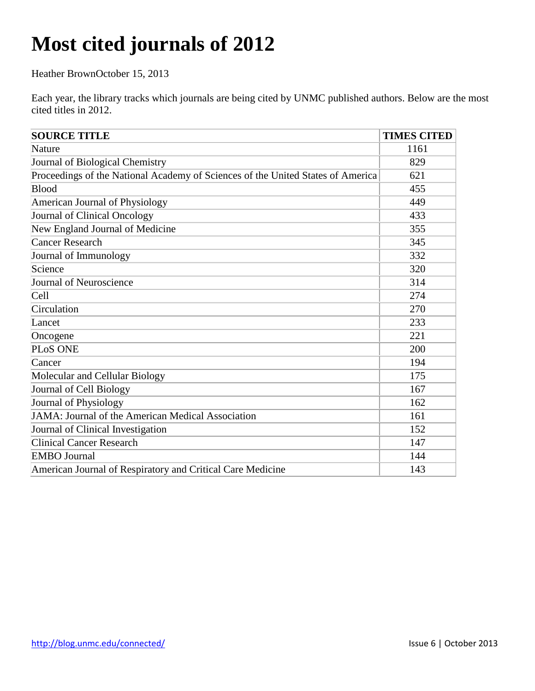# **Most cited journals of 2012**

Heather BrownOctober 15, 2013

Each year, the library tracks which journals are being cited by UNMC published authors. Below are the most cited titles in 2012.

| <b>SOURCE TITLE</b>                                                             | <b>TIMES CITED</b> |
|---------------------------------------------------------------------------------|--------------------|
| Nature                                                                          | 1161               |
| Journal of Biological Chemistry                                                 | 829                |
| Proceedings of the National Academy of Sciences of the United States of America | 621                |
| Blood                                                                           | 455                |
| American Journal of Physiology                                                  | 449                |
| Journal of Clinical Oncology                                                    | 433                |
| New England Journal of Medicine                                                 | 355                |
| <b>Cancer Research</b>                                                          | 345                |
| Journal of Immunology                                                           | 332                |
| Science                                                                         | 320                |
| Journal of Neuroscience                                                         | 314                |
| Cell                                                                            | 274                |
| Circulation                                                                     | 270                |
| Lancet                                                                          | 233                |
| Oncogene                                                                        | 221                |
| PLoS ONE                                                                        | 200                |
| Cancer                                                                          | 194                |
| Molecular and Cellular Biology                                                  | 175                |
| Journal of Cell Biology                                                         | 167                |
| <b>Journal of Physiology</b>                                                    | 162                |
| JAMA: Journal of the American Medical Association                               | 161                |
| Journal of Clinical Investigation                                               | 152                |
| <b>Clinical Cancer Research</b>                                                 | 147                |
| <b>EMBO</b> Journal                                                             | 144                |
| American Journal of Respiratory and Critical Care Medicine                      | 143                |